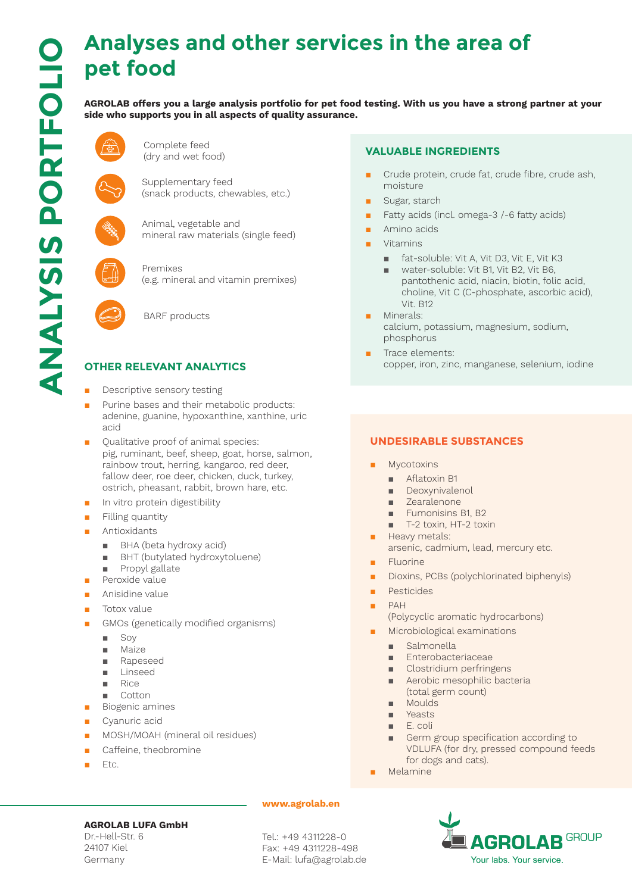# **Analyses and other services in the area of pet food**

**AGROLAB offers you a large analysis portfolio for pet food testing. With us you have a strong partner at your side who supports you in all aspects of quality assurance.** 



Complete feed (dry and wet food)

Supplementary feed (snack products, chewables, etc.)



Animal, vegetable and mineral raw materials (single feed)



Premixes (e.g. mineral and vitamin premixes)



BARF products

# **OTHER RELEVANT ANALYTICS**

- Descriptive sensory testing
- Purine bases and their metabolic products: adenine, guanine, hypoxanthine, xanthine, uric acid
- Qualitative proof of animal species: pig, ruminant, beef, sheep, goat, horse, salmon, rainbow trout, herring, kangaroo, red deer, fallow deer, roe deer, chicken, duck, turkey, ostrich, pheasant, rabbit, brown hare, etc.
- In vitro protein digestibility
- Filling quantity
- Antioxidants
	- BHA (beta hydroxy acid)
	- BHT (butylated hydroxytoluene)
	- Propyl gallate
- Peroxide value
- Anisidine value
- Totox value
- GMOs (genetically modified organisms)
	- Soy
	- Maize
	- Rapeseed
	- Linseed
	- Rice
	- Cotton
- Biogenic amines
- Cyanuric acid
- MOSH/MOAH (mineral oil residues)
- Caffeine, theobromine
- Etc.

# **VALUABLE INGREDIENTS**

- Crude protein, crude fat, crude fibre, crude ash, moisture
- Sugar, starch
- Fatty acids (incl. omega-3 /-6 fatty acids)
- Amino acids
- **Vitamins** 
	- fat-soluble: Vit A, Vit D3, Vit E, Vit K3
	- water-soluble: Vit B1, Vit B2, Vit B6, pantothenic acid, niacin, biotin, folic acid, choline, Vit C (C-phosphate, ascorbic acid), Vit. B12
- Minerals: calcium, potassium, magnesium, sodium, phosphorus
- Trace elements: copper, iron, zinc, manganese, selenium, iodine

## **UNDESIRABLE SUBSTANCES**

- **Mycotoxins** 
	- Aflatoxin B1
	- Deoxynivalenol
	- Zearalenone
	- Fumonisins B1, B2
	- T-2 toxin, HT-2 toxin
- Heavy metals: arsenic, cadmium, lead, mercury etc.
- **Fluorine**
- Dioxins, PCBs (polychlorinated biphenyls)
- Pesticides
- PAH
	- (Polycyclic aromatic hydrocarbons)
	- Microbiological examinations
	- Salmonella
	- Enterobacteriaceae
	- Clostridium perfringens
	- Aerobic mesophilic bacteria (total germ count)
	- Moulds
	- Yeasts
	- E. coli
	- Germ group specification according to VDLUFA (for dry, pressed compound feeds for dogs and cats).
- **Melamine**



Dr.-Hell-Str. 6 24107 Kiel Germany

#### **www.agrolab.en**

Tel.: +49 4311228-0 Fax: +49 4311228-498 E-Mail: lufa@agrolab.de